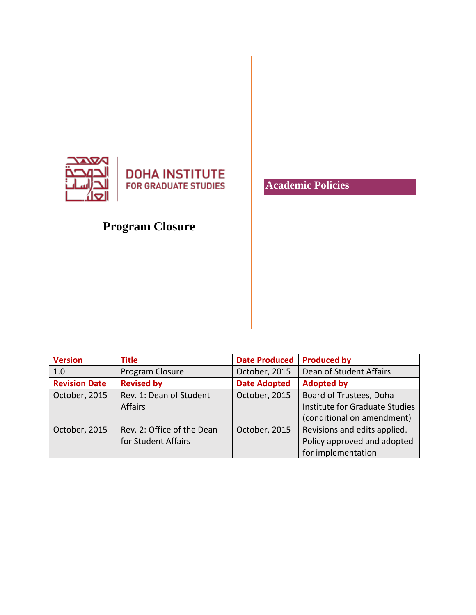

**DOHA INSTITUTE FOR GRADUATE STUDIES** 

# **Program Closure**

**Version Title Date Produced Produced by** 1.0 Program Closure Costober, 2015 Dean of Student Affairs **Revision Date Revised by Date Adopted Adopted by** October, 2015  $\vert$  Rev. 1: Dean of Student Affairs October, 2015 | Board of Trustees, Doha Institute for Graduate Studies (conditional on amendment) October, 2015  $\vert$  Rev. 2: Office of the Dean for Student Affairs October, 2015  $\vert$  Revisions and edits applied. Policy approved and adopted for implementation

## **Academic Policies**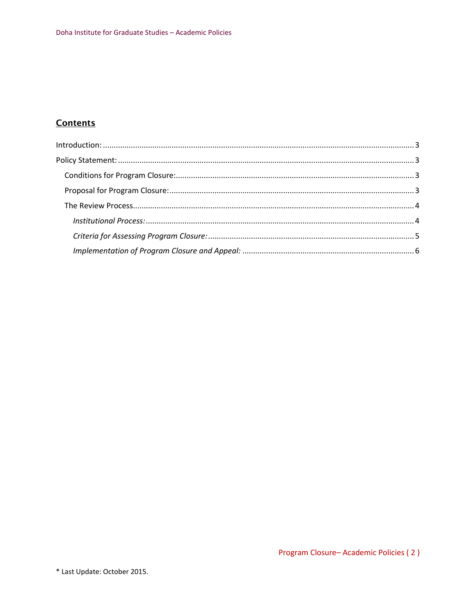### **Contents**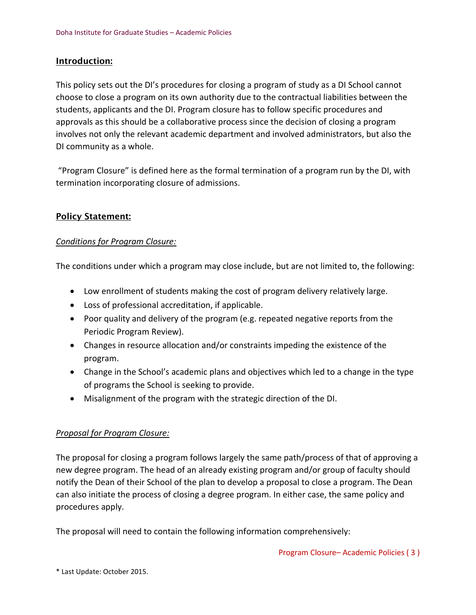#### <span id="page-2-0"></span>Introduction:

This policy sets out the DI's procedures for closing a program of study as a DI School cannot choose to close a program on its own authority due to the contractual liabilities between the students, applicants and the DI. Program closure has to follow specific procedures and approvals as this should be a collaborative process since the decision of closing a program involves not only the relevant academic department and involved administrators, but also the DI community as a whole.

"Program Closure" is defined here as the formal termination of a program run by the DI, with termination incorporating closure of admissions.

#### <span id="page-2-1"></span>Policy Statement:

#### <span id="page-2-2"></span>*Conditions for Program Closure:*

The conditions under which a program may close include, but are not limited to, the following:

- Low enrollment of students making the cost of program delivery relatively large.
- Loss of professional accreditation, if applicable.
- Poor quality and delivery of the program (e.g. repeated negative reports from the Periodic Program Review).
- Changes in resource allocation and/or constraints impeding the existence of the program.
- Change in the School's academic plans and objectives which led to a change in the type of programs the School is seeking to provide.
- Misalignment of the program with the strategic direction of the DI.

#### <span id="page-2-3"></span>*Proposal for Program Closure:*

The proposal for closing a program follows largely the same path/process of that of approving a new degree program. The head of an already existing program and/or group of faculty should notify the Dean of their School of the plan to develop a proposal to close a program. The Dean can also initiate the process of closing a degree program. In either case, the same policy and procedures apply.

The proposal will need to contain the following information comprehensively: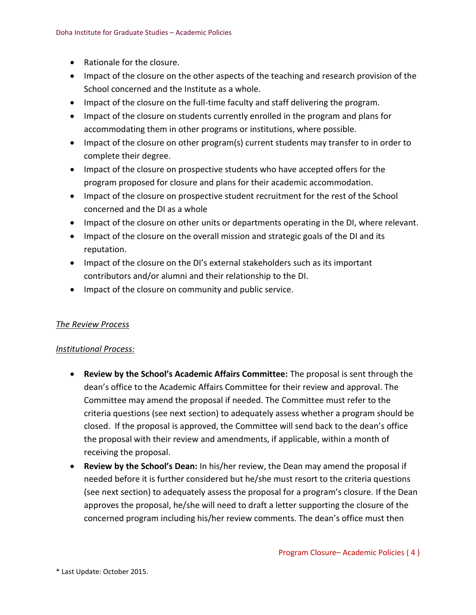- Rationale for the closure.
- Impact of the closure on the other aspects of the teaching and research provision of the School concerned and the Institute as a whole.
- Impact of the closure on the full-time faculty and staff delivering the program.
- Impact of the closure on students currently enrolled in the program and plans for accommodating them in other programs or institutions, where possible.
- Impact of the closure on other program(s) current students may transfer to in order to complete their degree.
- Impact of the closure on prospective students who have accepted offers for the program proposed for closure and plans for their academic accommodation.
- Impact of the closure on prospective student recruitment for the rest of the School concerned and the DI as a whole
- Impact of the closure on other units or departments operating in the DI, where relevant.
- Impact of the closure on the overall mission and strategic goals of the DI and its reputation.
- Impact of the closure on the DI's external stakeholders such as its important contributors and/or alumni and their relationship to the DI.
- Impact of the closure on community and public service.

#### <span id="page-3-0"></span>*The Review Process*

#### <span id="page-3-1"></span>*Institutional Process:*

- **Review by the School's Academic Affairs Committee:** The proposal is sent through the dean's office to the Academic Affairs Committee for their review and approval. The Committee may amend the proposal if needed. The Committee must refer to the criteria questions (see next section) to adequately assess whether a program should be closed. If the proposal is approved, the Committee will send back to the dean's office the proposal with their review and amendments, if applicable, within a month of receiving the proposal.
- **Review by the School's Dean:** In his/her review, the Dean may amend the proposal if needed before it is further considered but he/she must resort to the criteria questions (see next section) to adequately assess the proposal for a program's closure. If the Dean approves the proposal, he/she will need to draft a letter supporting the closure of the concerned program including his/her review comments. The dean's office must then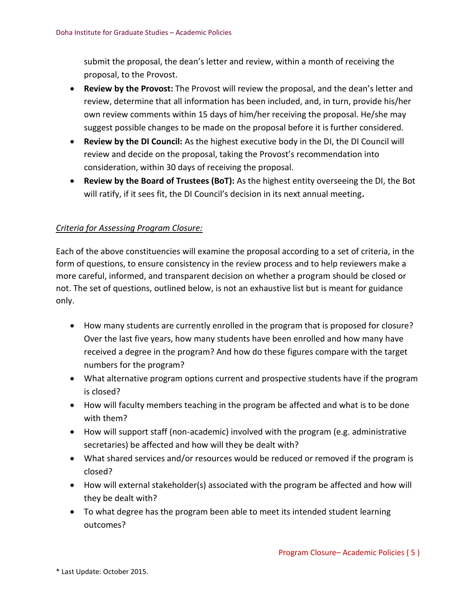submit the proposal, the dean's letter and review, within a month of receiving the proposal, to the Provost.

- **Review by the Provost:** The Provost will review the proposal, and the dean's letter and review, determine that all information has been included, and, in turn, provide his/her own review comments within 15 days of him/her receiving the proposal. He/she may suggest possible changes to be made on the proposal before it is further considered.
- **Review by the DI Council:** As the highest executive body in the DI, the DI Council will review and decide on the proposal, taking the Provost's recommendation into consideration, within 30 days of receiving the proposal.
- **Review by the Board of Trustees (BoT):** As the highest entity overseeing the DI, the Bot will ratify, if it sees fit, the DI Council's decision in its next annual meeting**.**

#### <span id="page-4-0"></span>*Criteria for Assessing Program Closure:*

Each of the above constituencies will examine the proposal according to a set of criteria, in the form of questions, to ensure consistency in the review process and to help reviewers make a more careful, informed, and transparent decision on whether a program should be closed or not. The set of questions, outlined below, is not an exhaustive list but is meant for guidance only.

- How many students are currently enrolled in the program that is proposed for closure? Over the last five years, how many students have been enrolled and how many have received a degree in the program? And how do these figures compare with the target numbers for the program?
- What alternative program options current and prospective students have if the program is closed?
- How will faculty members teaching in the program be affected and what is to be done with them?
- How will support staff (non-academic) involved with the program (e.g. administrative secretaries) be affected and how will they be dealt with?
- What shared services and/or resources would be reduced or removed if the program is closed?
- How will external stakeholder(s) associated with the program be affected and how will they be dealt with?
- To what degree has the program been able to meet its intended student learning outcomes?